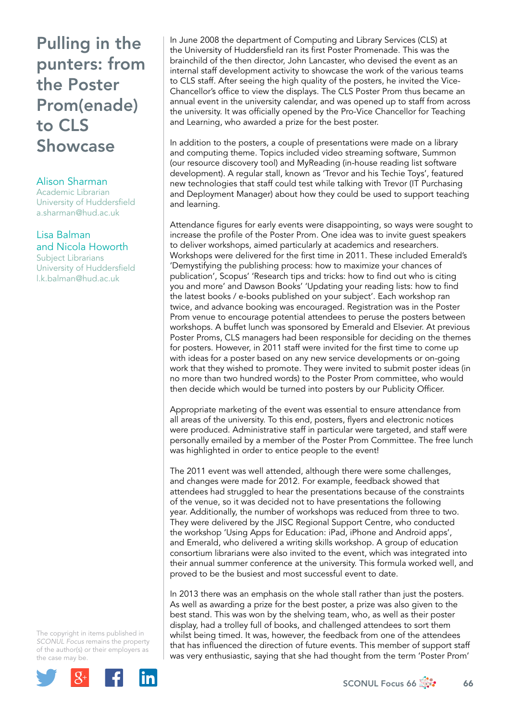## Pulling in the punters: from the Poster Prom(enade) to CLS Showcase

## Alison Sharman

Academic Librarian University of Huddersfield [a.sharman@hud.ac.uk](mailto:a.sharman@hud.ac.uk)

## Lisa Balman and Nicola Howorth

Subject Librarians University of Huddersfield [l.k.balman@hud.ac.uk](mailto:l.k.balman@hud.ac.uk)

The copyright in items published in *SCONUL Focus* remains the property of the author(s) or their employers as the case may be.



In June 2008 the department of Computing and Library Services (CLS) at the University of Huddersfield ran its first Poster Promenade. This was the brainchild of the then director, John Lancaster, who devised the event as an internal staff development activity to showcase the work of the various teams to CLS staff. After seeing the high quality of the posters, he invited the Vice-Chancellor's office to view the displays. The CLS Poster Prom thus became an annual event in the university calendar, and was opened up to staff from across the university. It was officially opened by the Pro-Vice Chancellor for Teaching and Learning, who awarded a prize for the best poster.

In addition to the posters, a couple of presentations were made on a library and computing theme. Topics included video streaming software, Summon (our resource discovery tool) and MyReading (in-house reading list software development). A regular stall, known as 'Trevor and his Techie Toys', featured new technologies that staff could test while talking with Trevor (IT Purchasing and Deployment Manager) about how they could be used to support teaching and learning.

Attendance figures for early events were disappointing, so ways were sought to increase the profile of the Poster Prom. One idea was to invite guest speakers to deliver workshops, aimed particularly at academics and researchers. Workshops were delivered for the first time in 2011. These included Emerald's 'Demystifying the publishing process: how to maximize your chances of publication', Scopus' 'Research tips and tricks: how to find out who is citing you and more' and Dawson Books' 'Updating your reading lists: how to find the latest books / e-books published on your subject'. Each workshop ran twice, and advance booking was encouraged. Registration was in the Poster Prom venue to encourage potential attendees to peruse the posters between workshops. A buffet lunch was sponsored by Emerald and Elsevier. At previous Poster Proms, CLS managers had been responsible for deciding on the themes for posters. However, in 2011 staff were invited for the first time to come up with ideas for a poster based on any new service developments or on-going work that they wished to promote. They were invited to submit poster ideas (in no more than two hundred words) to the Poster Prom committee, who would then decide which would be turned into posters by our Publicity Officer.

Appropriate marketing of the event was essential to ensure attendance from all areas of the university. To this end, posters, flyers and electronic notices were produced. Administrative staff in particular were targeted, and staff were personally emailed by a member of the Poster Prom Committee. The free lunch was highlighted in order to entice people to the event!

The 2011 event was well attended, although there were some challenges, and changes were made for 2012. For example, feedback showed that attendees had struggled to hear the presentations because of the constraints of the venue, so it was decided not to have presentations the following year. Additionally, the number of workshops was reduced from three to two. They were delivered by the JISC Regional Support Centre, who conducted the workshop 'Using Apps for Education: iPad, iPhone and Android apps', and Emerald, who delivered a writing skills workshop. A group of education consortium librarians were also invited to the event, which was integrated into their annual summer conference at the university. This formula worked well, and proved to be the busiest and most successful event to date.

In 2013 there was an emphasis on the whole stall rather than just the posters. As well as awarding a prize for the best poster, a prize was also given to the best stand. This was won by the shelving team, who, as well as their poster display, had a trolley full of books, and challenged attendees to sort them whilst being timed. It was, however, the feedback from one of the attendees that has influenced the direction of future events. This member of support staff was very enthusiastic, saying that she had thought from the term 'Poster Prom'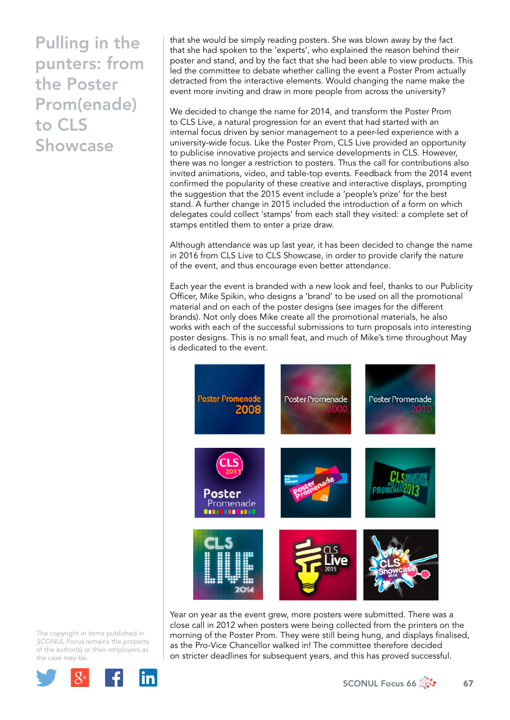Pulling in the punters: from the Poster Prom(enade) to CLS Showcase

that she would be simply reading posters. She was blown away by the fact that she had spoken to the 'experts', who explained the reason behind their poster and stand, and by the fact that she had been able to view products. This led the committee to debate whether calling the event a Poster Prom actually detracted from the interactive elements. Would changing the name make the event more inviting and draw in more people from across the university?

We decided to change the name for 2014, and transform the Poster Prom to CLS Live, a natural progression for an event that had started with an internal focus driven by senior management to a peer-led experience with a university-wide focus. Like the Poster Prom, CLS Live provided an opportunity to publicise innovative projects and service developments in CLS. However, there was no longer a restriction to posters. Thus the call for contributions also invited animations, video, and table-top events. Feedback from the 2014 event confirmed the popularity of these creative and interactive displays, prompting the suggestion that the 2015 event include a 'people's prize' for the best stand. A further change in 2015 included the introduction of a form on which delegates could collect 'stamps' from each stall they visited: a complete set of stamps entitled them to enter a prize draw.

Although attendance was up last year, it has been decided to change the name in 2016 from CLS Live to CLS Showcase, in order to provide clarify the nature of the event, and thus encourage even better attendance.

Each year the event is branded with a new look and feel, thanks to our Publicity Officer, Mike Spikin, who designs a 'brand' to be used on all the promotional material and on each of the poster designs (see images for the different brands). Not only does Mike create all the promotional materials, he also works with each of the successful submissions to turn proposals into interesting poster designs. This is no small feat, and much of Mike's time throughout May is dedicated to the event.



Year on year as the event grew, more posters were submitted. There was a close call in 2012 when posters were being collected from the printers on the morning of the Poster Prom. They were still being hung, and displays finalised, as the Pro-Vice Chancellor walked in! The committee therefore decided on stricter deadlines for subsequent years, and this has proved successful.

The copyright in items published in *SCONUL Focus* remains the property of the author(s) or their employers as the case may be.